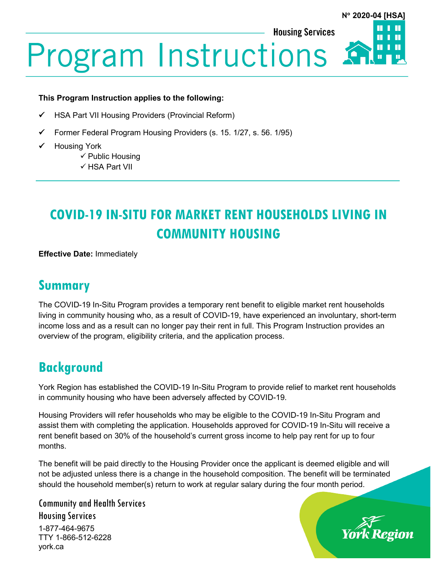**Housing Services** 



# **Program Instructions**

#### **This Program Instruction applies to the following:**

- HSA Part VII Housing Providers (Provincial Reform)
- $\checkmark$  Former Federal Program Housing Providers (s. 15. 1/27, s. 56. 1/95)
- Housing York
	- $\checkmark$  Public Housing
	- $\checkmark$  HSA Part VII

# **COVID-19 IN-SITU FOR MARKET RENT HOUSEHOLDS LIVING IN COMMUNITY HOUSING**

**Effective Date:** Immediately

#### **Summary**

The COVID-19 In-Situ Program provides a temporary rent benefit to eligible market rent households living in community housing who, as a result of COVID-19, have experienced an involuntary, short-term income loss and as a result can no longer pay their rent in full. This Program Instruction provides an overview of the program, eligibility criteria, and the application process.

### **Background**

York Region has established the COVID-19 In-Situ Program to provide relief to market rent households in community housing who have been adversely affected by COVID-19.

Housing Providers will refer households who may be eligible to the COVID-19 In-Situ Program and assist them with completing the application. Households approved for COVID-19 In-Situ will receive a rent benefit based on 30% of the household's current gross income to help pay rent for up to four months.

The benefit will be paid directly to the Housing Provider once the applicant is deemed eligible and will not be adjusted unless there is a change in the household composition. The benefit will be terminated should the household member(s) return to work at regular salary during the four month period.

Community and Health Services Housing Services 1-877-464-9675

TTY 1-866-512-6228 york.ca

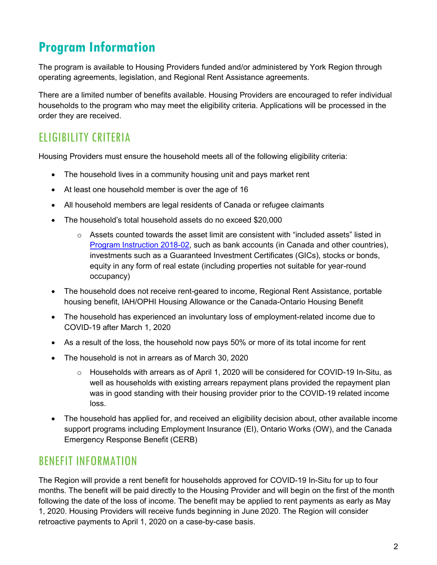# **Program Information**

The program is available to Housing Providers funded and/or administered by York Region through operating agreements, legislation, and Regional Rent Assistance agreements.

There are a limited number of benefits available. Housing Providers are encouraged to refer individual households to the program who may meet the eligibility criteria. Applications will be processed in the order they are received.

#### ELIGIBILITY CRITERIA

Housing Providers must ensure the household meets all of the following eligibility criteria:

- The household lives in a community housing unit and pays market rent
- At least one household member is over the age of 16
- All household members are legal residents of Canada or refugee claimants
- The household's total household assets do no exceed \$20,000
	- $\circ$  Assets counted towards the asset limit are consistent with "included assets" listed in [Program Instruction 2018-02,](https://www.york.ca/wps/wcm/connect/yorkpublic/35bdb405-3265-43fb-9f34-1be13bce7de6/PI-2018-02-ILIAL+Phase+1-New+Tenants+Receiving+Regional+Rent+Assistance.pdf?MOD=AJPERES) such as bank accounts (in Canada and other countries), investments such as a Guaranteed Investment Certificates (GICs), stocks or bonds, equity in any form of real estate (including properties not suitable for year-round occupancy)
- The household does not receive rent-geared to income, Regional Rent Assistance, portable housing benefit, IAH/OPHI Housing Allowance or the Canada-Ontario Housing Benefit
- The household has experienced an involuntary loss of employment-related income due to COVID-19 after March 1, 2020
- As a result of the loss, the household now pays 50% or more of its total income for rent
- The household is not in arrears as of March 30, 2020
	- $\circ$  Households with arrears as of April 1, 2020 will be considered for COVID-19 In-Situ, as well as households with existing arrears repayment plans provided the repayment plan was in good standing with their housing provider prior to the COVID-19 related income loss.
- The household has applied for, and received an eligibility decision about, other available income support programs including Employment Insurance (EI), Ontario Works (OW), and the Canada Emergency Response Benefit (CERB)

#### BENEFIT INFORMATION

The Region will provide a rent benefit for households approved for COVID-19 In-Situ for up to four months. The benefit will be paid directly to the Housing Provider and will begin on the first of the month following the date of the loss of income. The benefit may be applied to rent payments as early as May 1, 2020. Housing Providers will receive funds beginning in June 2020. The Region will consider retroactive payments to April 1, 2020 on a case-by-case basis.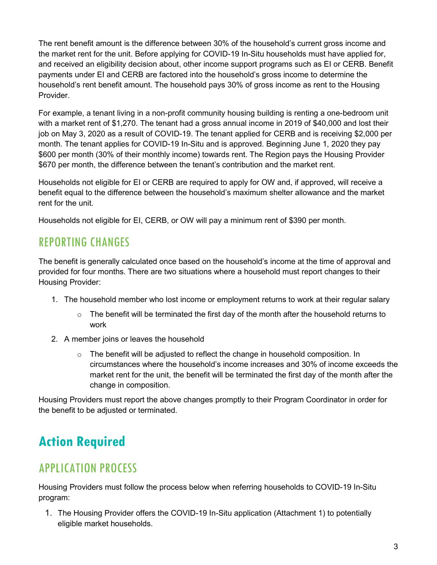The rent benefit amount is the difference between 30% of the household's current gross income and the market rent for the unit. Before applying for COVID-19 In-Situ households must have applied for, and received an eligibility decision about, other income support programs such as EI or CERB. Benefit payments under EI and CERB are factored into the household's gross income to determine the household's rent benefit amount. The household pays 30% of gross income as rent to the Housing Provider.

For example, a tenant living in a non-profit community housing building is renting a one-bedroom unit with a market rent of \$1,270. The tenant had a gross annual income in 2019 of \$40,000 and lost their job on May 3, 2020 as a result of COVID-19. The tenant applied for CERB and is receiving \$2,000 per month. The tenant applies for COVID-19 In-Situ and is approved. Beginning June 1, 2020 they pay \$600 per month (30% of their monthly income) towards rent. The Region pays the Housing Provider \$670 per month, the difference between the tenant's contribution and the market rent.

Households not eligible for EI or CERB are required to apply for OW and, if approved, will receive a benefit equal to the difference between the household's maximum shelter allowance and the market rent for the unit.

Households not eligible for EI, CERB, or OW will pay a minimum rent of \$390 per month.

#### REPORTING CHANGES

The benefit is generally calculated once based on the household's income at the time of approval and provided for four months. There are two situations where a household must report changes to their Housing Provider:

- 1. The household member who lost income or employment returns to work at their regular salary
	- $\circ$  The benefit will be terminated the first day of the month after the household returns to work
- 2. A member joins or leaves the household
	- $\circ$  The benefit will be adjusted to reflect the change in household composition. In circumstances where the household's income increases and 30% of income exceeds the market rent for the unit, the benefit will be terminated the first day of the month after the change in composition.

Housing Providers must report the above changes promptly to their Program Coordinator in order for the benefit to be adjusted or terminated.

# **Action Required**

#### APPLICATION PROCESS

Housing Providers must follow the process below when referring households to COVID-19 In-Situ program:

1. The Housing Provider offers the COVID-19 In-Situ application (Attachment 1) to potentially eligible market households.